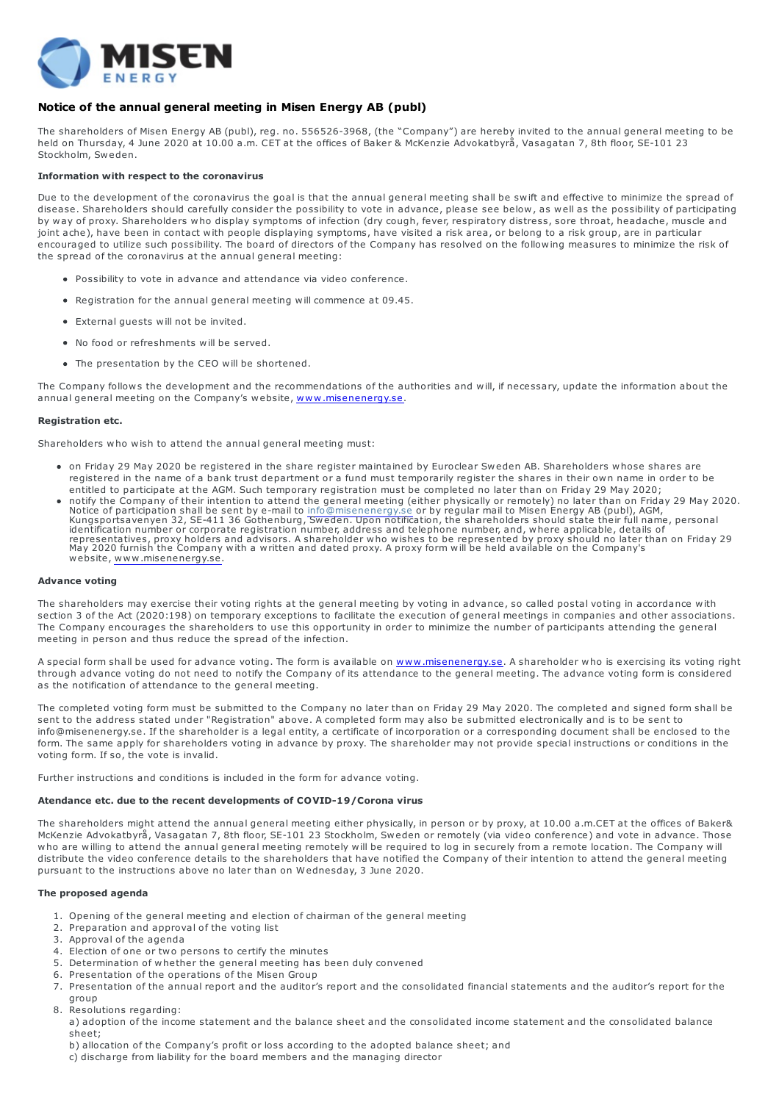

# Notice of the annual general meeting in Misen Energy AB (publ)

The shareholders of Misen Energy AB (publ), reg. no. 556526-3968, (the "Company") are hereby invited to the annual general meeting to be held on Thursday, 4 June 2020 at 10.00 a.m. CET at the offices of Baker & McKenzie Advokatbyrå, Vasagatan 7, 8th floor, SE-101 23 Stockholm, Sweden.

## Information with respect to the coronavirus

Due to the development of the coronavirus the goal is that the annual general meeting shall be swift and effective to minimize the spread of disease. Shareholders should carefully consider the possibility to vote in advance, please see below, as well as the possibility of participating by way of proxy. Shareholders who display symptoms of infection (dry cough, fever, respiratory distress, sore throat, headache, muscle and joint ache), have been in contact with people displaying symptoms, have visited a risk area, or belong to a risk group, are in particular encouraged to utilize such possibility. The board of directors of the Company has resolved on the following measures to minimize the risk of the spread of the coronavirus at the annual general meeting:

- Possibility to vote in advance and attendance via video conference.
- Registration for the annual general meeting will commence at 09.45.
- External guests will not be invited.
- No food or refreshments will be served.
- The presentation by the CEO will be shortened.

The Company follows the development and the recommendations of the authorities and will, if necessary, update the information about the annual general meeting on the Company's website, www.misenenergy.se.

## Registration etc.

Shareholders who wish to attend the annual general meeting must:

- on Friday 29 May 2020 be registered in the share register maintained by Euroclear Sweden AB. Shareholders whose shares are registered in the name of a bank trust department or a fund must temporarily register the shares in their own name in order to be entitled to participate at the AGM. Such temporary registration must be completed no later than on Friday 29 May 2020;
- notify the Company of their intention to attend the general meeting (either physically or remotely) no later than on Friday 29 May 2020.<br>Notice of participation shall be sent by e-mail to info@misenenergy.se or by regular website, www.misenenergy.se.

## Advance voting

The shareholders may exercise their voting rights at the general meeting by voting in advance, so called postal voting in accordance with section 3 of the Act (2020:198) on temporary exceptions to facilitate the execution of general meetings in companies and other associations. The Company encourages the shareholders to use this opportunity in order to minimize the number of participants attending the general meeting in person and thus reduce the spread of the infection.

A special form shall be used for advance voting. The form is available on www.misenenergy.se. A shareholder who is exercising its voting right through advance voting do not need to notify the Company of its attendance to the general meeting. The advance voting form is considered as the notification of attendance to the general meeting.

The completed voting form must be submitted to the Company no later than on Friday 29 May 2020. The completed and signed form shall be sent to the address stated under "Registration" above. A completed form may also be submitted electronically and is to be sent to info@misenenergy.se. If the shareholder is a legal entity, a certificate of incorporation or a corresponding document shall be enclosed to the form. The same apply for shareholders voting in advance by proxy. The shareholder may not provide special instructions or conditions in the voting form. If so, the vote is invalid.

Further instructions and conditions is included in the form for advance voting.

## Atendance etc. due to the recent developments of COVID-19/Corona virus

The shareholders might attend the annual general meeting either physically, in person or by proxy, at 10.00 a.m.CET at the offices of Baker& McKenzie Advokatbyrå, Vasagatan 7, 8th floor, SE-101 23 Stockholm, Sweden or remotely (via video conference) and vote in advance. Those who are willing to attend the annual general meeting remotely will be required to log in securely from a remote location. The Company will distribute the video conference details to the shareholders that have notified the Company of their intention to attend the general meeting pursuant to the instructions above no later than on Wednesday, 3 June 2020.

#### The proposed agenda

- 1. Opening of the general meeting and election of chairman of the general meeting
- 2. Preparation and approval of the voting list
- 3. Approval of the agenda
- 4. Election of one or two persons to certify the minutes
- 5. Determination of whether the general meeting has been duly convened
- 6. Presentation of the operations of the Misen Group
- 7. Presentation of the annual report and the auditor's report and the consolidated financial statements and the auditor's report for the group
- 8. Resolutions regarding:
- a) adoption of the income statement and the balance sheet and the consolidated income statement and the consolidated balance sheet;
- b) allocation of the Company's profit or loss according to the adopted balance sheet; and
- c) discharge from liability for the board members and the managing director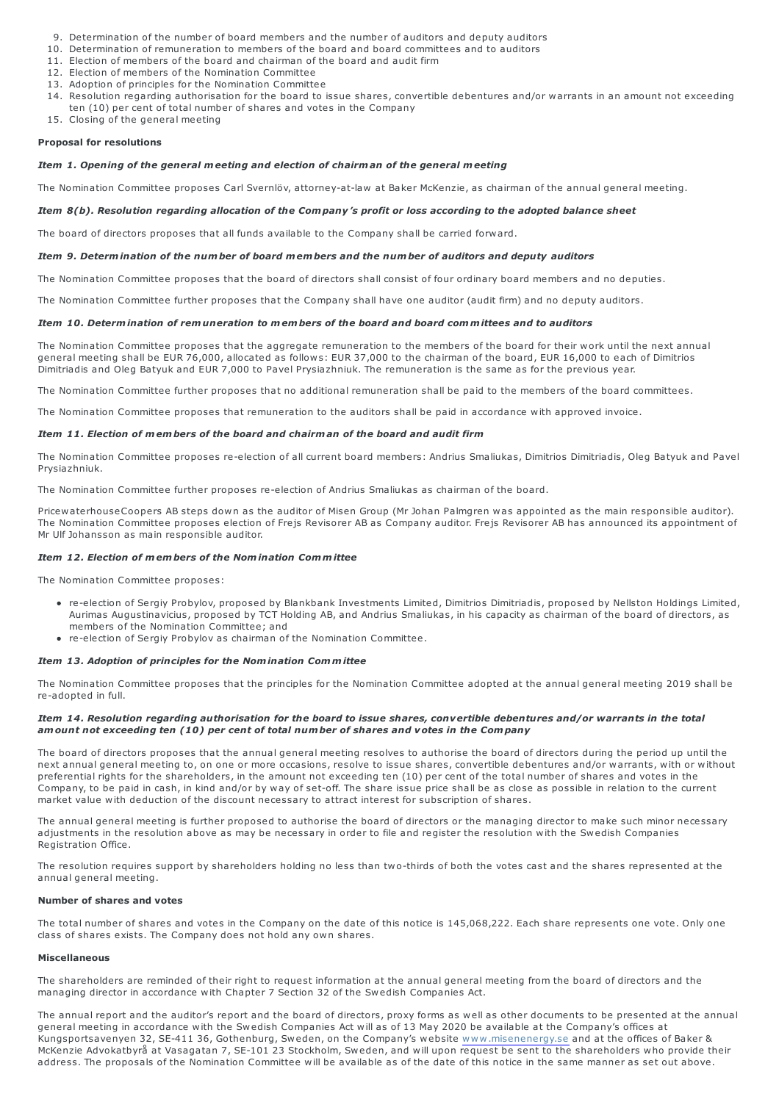- 9. Determination of the number of board members and the number of auditors and deputy auditors
- 10. Determination of remuneration to members of the board and board committees and to auditors
- 11. Election of members of the board and chairman of the board and audit firm
- 12. Election of members of the Nomination Committee
- 13. Adoption of principles for the Nomination Committee
- 14. Resolution regarding authorisation for the board to issue shares, convertible debentures and/or warrants in an amount not exceeding ten (10) per cent of total number of shares and votes in the Company
- 15. Closing of the general meeting

#### Proposal for resolutions

## Item 1. Opening of the general meeting and election of chairman of the general meeting

The Nomination Committee proposes Carl Svernlöv, attorney-at-law at Baker McKenzie, as chairman of the annual general meeting.

## Item 8(b). Resolution regarding allocation of the Company's profit or loss according to the adopted balance sheet

The board of directors proposes that all funds available to the Company shall be carried forward.

## Item 9. Determination of the number of board members and the number of auditors and deputy auditors

The Nomination Committee proposes that the board of directors shall consist of four ordinary board members and no deputies.

The Nomination Committee further proposes that the Company shall have one auditor (audit firm) and no deputy auditors.

#### Item 10. Determination of remuneration to members of the board and board committees and to auditors

The Nomination Committee proposes that the aggregate remuneration to the members of the board for their work until the next annual general meeting shall be EUR 76,000, allocated as follows: EUR 37,000 to the chairman of the board, EUR 16,000 to each of Dimitrios Dimitriadis and Oleg Batyuk and EUR 7,000 to Pavel Prysiazhniuk. The remuneration is the same as for the previous year.

The Nomination Committee further proposes that no additional remuneration shall be paid to the members of the board committees.

The Nomination Committee proposes that remuneration to the auditors shall be paid in accordance with approved invoice.

## Item 11. Election of members of the board and chairman of the board and audit firm

The Nomination Committee proposes re-election of all current board members: Andrius Smaliukas, Dimitrios Dimitriadis, Oleg Batyuk and Pavel Prysiazhniuk.

The Nomination Committee further proposes re-election of Andrius Smaliukas as chairman of the board.

PricewaterhouseCoopers AB steps down as the auditor of Misen Group (Mr Johan Palmgren was appointed as the main responsible auditor). The Nomination Committee proposes election of Frejs Revisorer AB as Company auditor. Frejs Revisorer AB has announced its appointment of Mr Ulf Johansson as main responsible auditor.

## Item 12. Election of members of the Nomination Committee

The Nomination Committee proposes:

- re-election of Sergiy Probylov, proposed by Blankbank Investments Limited, Dimitrios Dimitriadis, proposed by Nellston Holdings Limited, Aurimas Augustinavicius, proposed by TCT Holding AB, and Andrius Smaliukas, in his capacity as chairman of the board of directors, as members of the Nomination Committee; and
	- re-election of Sergiy Probylov as chairman of the Nomination Committee.

#### Item 13. Adoption of principles for the Nomination Committee

The Nomination Committee proposes that the principles for the Nomination Committee adopted at the annual general meeting 2019 shall be re-adopted in full.

## Item 14. Resolution regarding authorisation for the board to issue shares, convertible debentures and/or warrants in the total amount not exceeding ten (10) per cent of total number of shares and votes in the Company

The board of directors proposes that the annual general meeting resolves to authorise the board of directors during the period up until the next annual general meeting to, on one or more occasions, resolve to issue shares, convertible debentures and/or warrants, with or without preferential rights for the shareholders, in the amount not exceeding ten (10) per cent of the total number of shares and votes in the Company, to be paid in cash, in kind and/or by way of set-off. The share issue price shall be as close as possible in relation to the current market value with deduction of the discount necessary to attract interest for subscription of shares.

The annual general meeting is further proposed to authorise the board of directors or the managing director to make such minor necessary adjustments in the resolution above as may be necessary in order to file and register the resolution with the Swedish Companies Registration Office.

The resolution requires support by shareholders holding no less than two-thirds of both the votes cast and the shares represented at the annual general meeting.

## Number of shares and votes

The total number of shares and votes in the Company on the date of this notice is 145,068,222. Each share represents one vote. Only one class of shares exists. The Company does not hold any own shares.

#### Miscellaneous

The shareholders are reminded of their right to request information at the annual general meeting from the board of directors and the managing director in accordance with Chapter 7 Section 32 of the Swedish Companies Act.

The annual report and the auditor's report and the board of directors, proxy forms as well as other documents to be presented at the annual general meeting in accordance with the Swedish Companies Act will as of 13 May 2020 be available at the Company's offices at Kungsportsavenyen 32, SE-411 36, Gothenburg, Sweden, on the Company's website www.misenenergy.se and at the offices of Baker & McKenzie Advokatbyrå at Vasagatan 7, SE-101 23 Stockholm, Sweden, and will upon request be sent to the shareholders who provide their address. The proposals of the Nomination Committee will be available as of the date of this notice in the same manner as set out above.